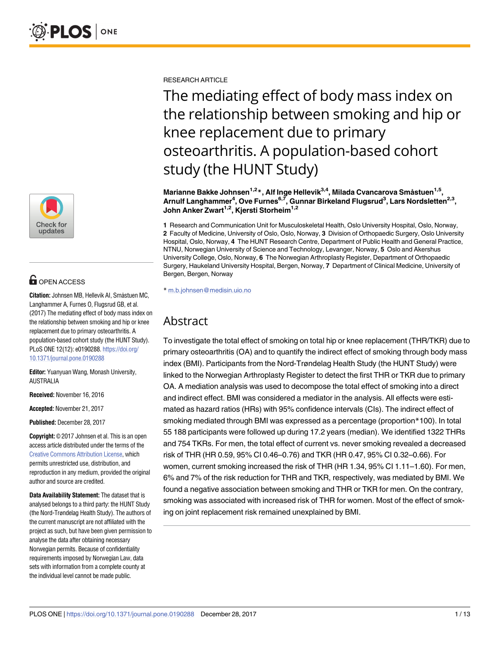

# **OPEN ACCESS**

**Citation:** Johnsen MB, Hellevik AI, Småstuen MC, Langhammer A, Furnes O, Flugsrud GB, et al. (2017) The mediating effect of body mass index on the relationship between smoking and hip or knee replacement due to primary osteoarthritis. A population-based cohort study (the HUNT Study). PLoS ONE 12(12): e0190288. [https://doi.org/](https://doi.org/10.1371/journal.pone.0190288) [10.1371/journal.pone.0190288](https://doi.org/10.1371/journal.pone.0190288)

**Editor:** Yuanyuan Wang, Monash University, AUSTRALIA

**Received:** November 16, 2016

**Accepted:** November 21, 2017

**Published:** December 28, 2017

**Copyright:** © 2017 Johnsen et al. This is an open access article distributed under the terms of the Creative Commons [Attribution](http://creativecommons.org/licenses/by/4.0/) License, which permits unrestricted use, distribution, and reproduction in any medium, provided the original author and source are credited.

**Data Availability Statement:** The dataset that is analysed belongs to a third party: the HUNT Study (the Nord-Trøndelag Health Study). The authors of the current manuscript are not affiliated with the project as such, but have been given permission to analyse the data after obtaining necessary Norwegian permits. Because of confidentiality requirements imposed by Norwegian Law, data sets with information from a complete county at the individual level cannot be made public.

RESEARCH ARTICLE

The mediating effect of body mass index on the relationship between smoking and hip or knee replacement due to primary osteoarthritis. A population-based cohort study (the HUNT Study)

**Marianne Bakke Johnsen1,2\*, Alf Inge Hellevik3,4, Milada Cvancarova Småstuen1,5, Arnulf Langhammer4 , Ove Furnes6,7, Gunnar Birkeland Flugsrud3 , Lars Nordsletten2,3, John Anker Zwart<sup>1,2</sup>, Kjersti Storheim<sup>1,2</sup>** 

**1** Research and Communication Unit for Musculoskeletal Health, Oslo University Hospital, Oslo, Norway, **2** Faculty of Medicine, University of Oslo, Oslo, Norway, **3** Division of Orthopaedic Surgery, Oslo University Hospital, Oslo, Norway, **4** The HUNT Research Centre, Department of Public Health and General Practice, NTNU, Norwegian University of Science and Technology, Levanger, Norway, **5** Oslo and Akershus University College, Oslo, Norway, **6** The Norwegian Arthroplasty Register, Department of Orthopaedic Surgery, Haukeland University Hospital, Bergen, Norway, **7** Department of Clinical Medicine, University of Bergen, Bergen, Norway

\* m.b.johnsen@medisin.uio.no

# Abstract

To investigate the total effect of smoking on total hip or knee replacement (THR/TKR) due to primary osteoarthritis (OA) and to quantify the indirect effect of smoking through body mass index (BMI). Participants from the Nord-Trøndelag Health Study (the HUNT Study) were linked to the Norwegian Arthroplasty Register to detect the first THR or TKR due to primary OA. A mediation analysis was used to decompose the total effect of smoking into a direct and indirect effect. BMI was considered a mediator in the analysis. All effects were estimated as hazard ratios (HRs) with 95% confidence intervals (CIs). The indirect effect of smoking mediated through BMI was expressed as a percentage (proportion\*100). In total 55 188 participants were followed up during 17.2 years (median). We identified 1322 THRs and 754 TKRs. For men, the total effect of current vs. never smoking revealed a decreased risk of THR (HR 0.59, 95% CI 0.46–0.76) and TKR (HR 0.47, 95% CI 0.32–0.66). For women, current smoking increased the risk of THR (HR 1.34, 95% CI 1.11–1.60). For men, 6% and 7% of the risk reduction for THR and TKR, respectively, was mediated by BMI. We found a negative association between smoking and THR or TKR for men. On the contrary, smoking was associated with increased risk of THR for women. Most of the effect of smoking on joint replacement risk remained unexplained by BMI.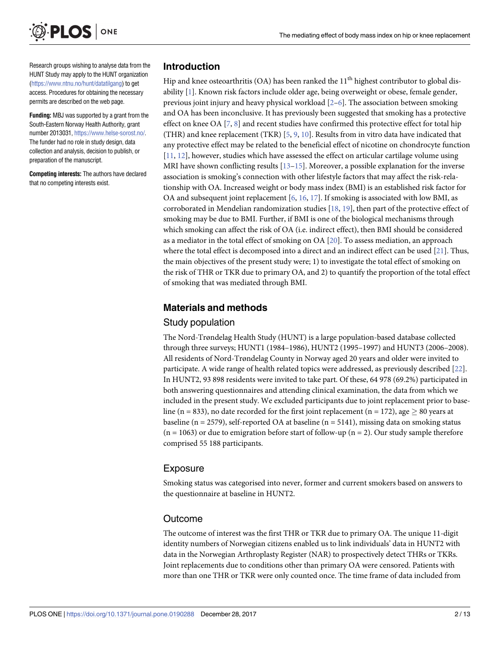<span id="page-1-0"></span>

Research groups wishing to analyse data from the HUNT Study may apply to the HUNT organization [\(https://www.ntnu.no/hunt/datatilgang](https://www.ntnu.no/hunt/datatilgang)) to get access. Procedures for obtaining the necessary permits are described on the web page.

**Funding:** MBJ was supported by a grant from the South-Eastern Norway Health Authority, grant number 2013031, <https://www.helse-sorost.no/>. The funder had no role in study design, data collection and analysis, decision to publish, or preparation of the manuscript.

**Competing interests:** The authors have declared that no competing interests exist.

## **Introduction**

Hip and knee osteoarthritis (OA) has been ranked the  $11<sup>th</sup>$  highest contributor to global disability [\[1](#page-10-0)]. Known risk factors include older age, being overweight or obese, female gender, previous joint injury and heavy physical workload  $[2-6]$ . The association between smoking and OA has been inconclusive. It has previously been suggested that smoking has a protective effect on knee OA [\[7](#page-10-0), [8](#page-10-0)] and recent studies have confirmed this protective effect for total hip (THR) and knee replacement (TKR)  $[5, 9, 10]$  $[5, 9, 10]$  $[5, 9, 10]$  $[5, 9, 10]$  $[5, 9, 10]$  $[5, 9, 10]$ . Results from in vitro data have indicated that any protective effect may be related to the beneficial effect of nicotine on chondrocyte function [\[11,](#page-10-0) [12\]](#page-10-0), however, studies which have assessed the effect on articular cartilage volume using MRI have shown conflicting results  $[13-15]$ . Moreover, a possible explanation for the inverse association is smoking's connection with other lifestyle factors that may affect the risk-relationship with OA. Increased weight or body mass index (BMI) is an established risk factor for OA and subsequent joint replacement [[6](#page-10-0), [16](#page-11-0), [17](#page-11-0)]. If smoking is associated with low BMI, as corroborated in Mendelian randomization studies [\[18,](#page-11-0) [19\]](#page-11-0), then part of the protective effect of smoking may be due to BMI. Further, if BMI is one of the biological mechanisms through which smoking can affect the risk of OA (i.e. indirect effect), then BMI should be considered as a mediator in the total effect of smoking on OA [[20](#page-11-0)]. To assess mediation, an approach where the total effect is decomposed into a direct and an indirect effect can be used [\[21\]](#page-11-0). Thus, the main objectives of the present study were; 1) to investigate the total effect of smoking on the risk of THR or TKR due to primary OA, and 2) to quantify the proportion of the total effect of smoking that was mediated through BMI.

# **Materials and methods**

# Study population

The Nord-Trøndelag Health Study (HUNT) is a large population-based database collected through three surveys; HUNT1 (1984–1986), HUNT2 (1995–1997) and HUNT3 (2006–2008). All residents of Nord-Trøndelag County in Norway aged 20 years and older were invited to participate. A wide range of health related topics were addressed, as previously described [\[22\]](#page-11-0). In HUNT2, 93 898 residents were invited to take part. Of these, 64 978 (69.2%) participated in both answering questionnaires and attending clinical examination, the data from which we included in the present study. We excluded participants due to joint replacement prior to baseline (n = 833), no date recorded for the first joint replacement (n = 172), age  $> 80$  years at baseline (n = 2579), self-reported OA at baseline (n = 5141), missing data on smoking status  $(n = 1063)$  or due to emigration before start of follow-up  $(n = 2)$ . Our study sample therefore comprised 55 188 participants.

# Exposure

Smoking status was categorised into never, former and current smokers based on answers to the questionnaire at baseline in HUNT2.

# Outcome

The outcome of interest was the first THR or TKR due to primary OA. The unique 11-digit identity numbers of Norwegian citizens enabled us to link individuals' data in HUNT2 with data in the Norwegian Arthroplasty Register (NAR) to prospectively detect THRs or TKRs. Joint replacements due to conditions other than primary OA were censored. Patients with more than one THR or TKR were only counted once. The time frame of data included from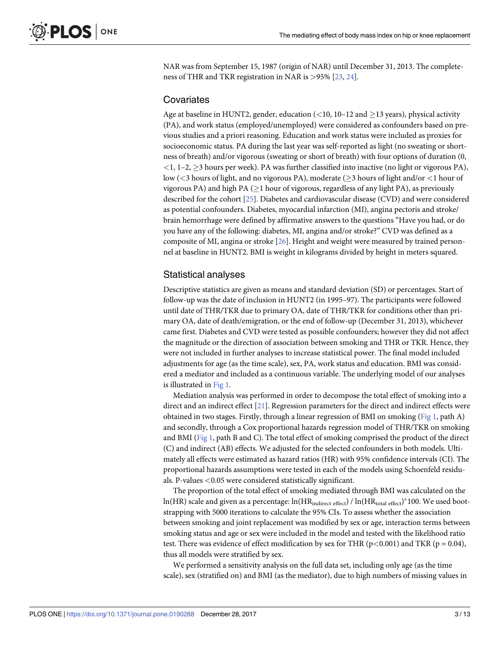<span id="page-2-0"></span>NAR was from September 15, 1987 (origin of NAR) until December 31, 2013. The completeness of THR and TKR registration in NAR is *>*95% [\[23,](#page-11-0) [24\]](#page-11-0).

## **Covariates**

Age at baseline in HUNT2, gender, education (<10, 10–12 and >13 years), physical activity (PA), and work status (employed/unemployed) were considered as confounders based on previous studies and a priori reasoning. Education and work status were included as proxies for socioeconomic status. PA during the last year was self-reported as light (no sweating or shortness of breath) and/or vigorous (sweating or short of breath) with four options of duration (0,  $\langle 1, 1-2, \rangle$  2 hours per week). PA was further classified into inactive (no light or vigorous PA), low (<3 hours of light, and no vigorous PA), moderate ( $\geq$ 3 hours of light and/or <1 hour of vigorous PA) and high PA ( $\geq$ 1 hour of vigorous, regardless of any light PA), as previously described for the cohort [\[25\]](#page-11-0). Diabetes and cardiovascular disease (CVD) and were considered as potential confounders. Diabetes, myocardial infarction (MI), angina pectoris and stroke/ brain hemorrhage were defined by affirmative answers to the questions "Have you had, or do you have any of the following: diabetes, MI, angina and/or stroke?" CVD was defined as a composite of MI, angina or stroke [[26](#page-11-0)]. Height and weight were measured by trained personnel at baseline in HUNT2. BMI is weight in kilograms divided by height in meters squared.

### Statistical analyses

Descriptive statistics are given as means and standard deviation (SD) or percentages. Start of follow-up was the date of inclusion in HUNT2 (in 1995–97). The participants were followed until date of THR/TKR due to primary OA, date of THR/TKR for conditions other than primary OA, date of death/emigration, or the end of follow-up (December 31, 2013), whichever came first. Diabetes and CVD were tested as possible confounders; however they did not affect the magnitude or the direction of association between smoking and THR or TKR. Hence, they were not included in further analyses to increase statistical power. The final model included adjustments for age (as the time scale), sex, PA, work status and education. BMI was considered a mediator and included as a continuous variable. The underlying model of our analyses is illustrated in [Fig](#page-3-0) 1.

Mediation analysis was performed in order to decompose the total effect of smoking into a direct and an indirect effect [\[21\]](#page-11-0). Regression parameters for the direct and indirect effects were obtained in two stages. Firstly, through a linear regression of BMI on smoking [\(Fig](#page-3-0) 1, path A) and secondly, through a Cox proportional hazards regression model of THR/TKR on smoking and BMI [\(Fig](#page-3-0) 1, path B and C). The total effect of smoking comprised the product of the direct (C) and indirect (AB) effects. We adjusted for the selected confounders in both models. Ultimately all effects were estimated as hazard ratios (HR) with 95% confidence intervals (CI). The proportional hazards assumptions were tested in each of the models using Schoenfeld residuals. P-values *<*0.05 were considered statistically significant.

The proportion of the total effect of smoking mediated through BMI was calculated on the  $\ln({\rm HR})$  scale and given as a percentage:  $\ln({\rm HR}_{\rm indirect\ effect})$  /  $\ln({\rm HR}_{\rm total\ effect})^*$ 100. We used bootstrapping with 5000 iterations to calculate the 95% CIs. To assess whether the association between smoking and joint replacement was modified by sex or age, interaction terms between smoking status and age or sex were included in the model and tested with the likelihood ratio test. There was evidence of effect modification by sex for THR ( $p$  < 0.001) and TKR ( $p$  = 0.04), thus all models were stratified by sex.

We performed a sensitivity analysis on the full data set, including only age (as the time scale), sex (stratified on) and BMI (as the mediator), due to high numbers of missing values in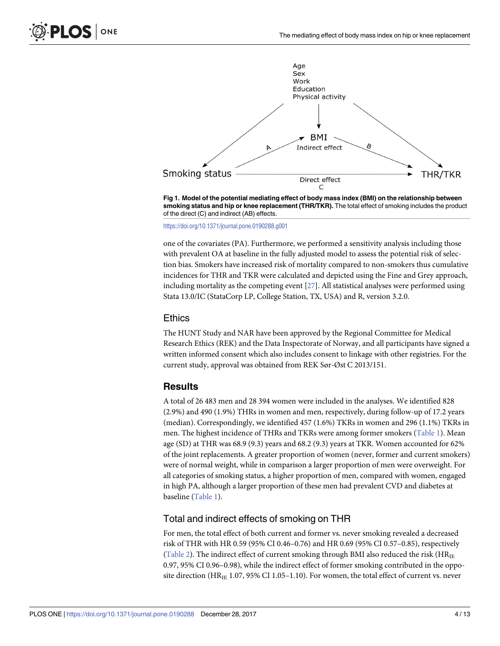<span id="page-3-0"></span>

**[Fig](#page-2-0) 1. Model of the potential mediating effect of body mass index (BMI) on the relationship between smoking status and hip or knee replacement (THR/TKR).** The total effect of smoking includes the product of the direct (C) and indirect (AB) effects.

<https://doi.org/10.1371/journal.pone.0190288.g001>

one of the covariates (PA). Furthermore, we performed a sensitivity analysis including those with prevalent OA at baseline in the fully adjusted model to assess the potential risk of selection bias. Smokers have increased risk of mortality compared to non-smokers thus cumulative incidences for THR and TKR were calculated and depicted using the Fine and Grey approach, including mortality as the competing event [\[27\]](#page-11-0). All statistical analyses were performed using Stata 13.0/IC (StataCorp LP, College Station, TX, USA) and R, version 3.2.0.

### **Ethics**

The HUNT Study and NAR have been approved by the Regional Committee for Medical Research Ethics (REK) and the Data Inspectorate of Norway, and all participants have signed a written informed consent which also includes consent to linkage with other registries. For the current study, approval was obtained from REK Sør-Øst C 2013/151.

## **Results**

A total of 26 483 men and 28 394 women were included in the analyses. We identified 828 (2.9%) and 490 (1.9%) THRs in women and men, respectively, during follow-up of 17.2 years (median). Correspondingly, we identified 457 (1.6%) TKRs in women and 296 (1.1%) TKRs in men. The highest incidence of THRs and TKRs were among former smokers [\(Table](#page-4-0) 1). Mean age (SD) at THR was 68.9 (9.3) years and 68.2 (9.3) years at TKR. Women accounted for 62% of the joint replacements. A greater proportion of women (never, former and current smokers) were of normal weight, while in comparison a larger proportion of men were overweight. For all categories of smoking status, a higher proportion of men, compared with women, engaged in high PA, although a larger proportion of these men had prevalent CVD and diabetes at baseline ([Table](#page-4-0) 1).

# Total and indirect effects of smoking on THR

For men, the total effect of both current and former vs. never smoking revealed a decreased risk of THR with HR 0.59 (95% CI 0.46–0.76) and HR 0.69 (95% CI 0.57–0.85), respectively [\(Table](#page-5-0) 2). The indirect effect of current smoking through BMI also reduced the risk ( $HR_{IF}$ 0.97, 95% CI 0.96–0.98), while the indirect effect of former smoking contributed in the opposite direction (HR<sub>IE</sub> 1.07, 95% CI 1.05–1.10). For women, the total effect of current vs. never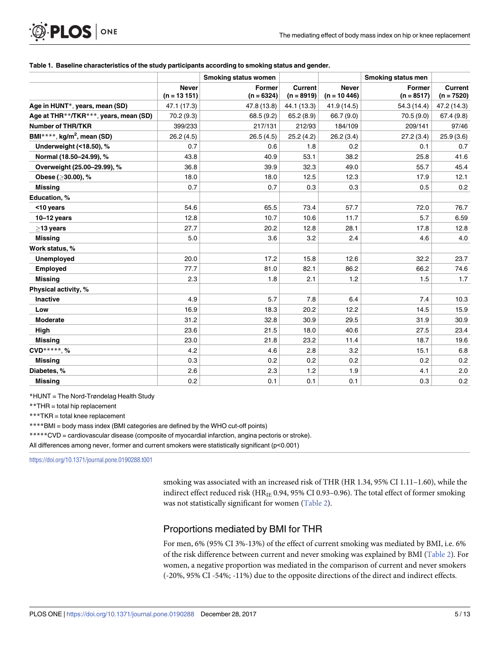|                                       |                               | <b>Smoking status women</b> |                         |                                | Smoking status men            |                                |
|---------------------------------------|-------------------------------|-----------------------------|-------------------------|--------------------------------|-------------------------------|--------------------------------|
|                                       | <b>Never</b><br>$(n = 13151)$ | Former<br>$(n = 6324)$      | Current<br>$(n = 8919)$ | <b>Never</b><br>$(n = 10 446)$ | <b>Former</b><br>$(n = 8517)$ | <b>Current</b><br>$(n = 7520)$ |
| Age in HUNT*, years, mean (SD)        | 47.1 (17.3)                   | 47.8 (13.8)                 | 44.1 (13.3)             | 41.9 (14.5)                    | 54.3 (14.4)                   | 47.2 (14.3)                    |
| Age at THR**/TKR***, years, mean (SD) | 70.2 (9.3)                    | 68.5(9.2)                   | 65.2(8.9)               | 66.7 (9.0)                     | 70.5(9.0)                     | 67.4(9.8)                      |
| <b>Number of THR/TKR</b>              | 399/233                       | 217/131                     | 212/93                  | 184/109                        | 209/141                       | 97/46                          |
| BMI****, $kg/m^2$ , mean (SD)         | 26.2(4.5)                     | 26.5(4.5)                   | 25.2(4.2)               | 26.2(3.4)                      | 27.2(3.4)                     | 25.9(3.6)                      |
| Underweight (<18.50), %               | 0.7                           | 0.6                         | 1.8                     | 0.2                            | 0.1                           | 0.7                            |
| Normal (18.50-24.99), %               | 43.8                          | 40.9                        | 53.1                    | 38.2                           | 25.8                          | 41.6                           |
| Overweight (25.00-29.99), %           | 36.8                          | 39.9                        | 32.3                    | 49.0                           | 55.7                          | 45.4                           |
| Obese (≥30.00),%                      | 18.0                          | 18.0                        | 12.5                    | 12.3                           | 17.9                          | 12.1                           |
| <b>Missing</b>                        | 0.7                           | 0.7                         | 0.3                     | 0.3                            | 0.5                           | 0.2                            |
| Education, %                          |                               |                             |                         |                                |                               |                                |
| <10 years                             | 54.6                          | 65.5                        | 73.4                    | 57.7                           | 72.0                          | 76.7                           |
| 10-12 years                           | 12.8                          | 10.7                        | 10.6                    | 11.7                           | 5.7                           | 6.59                           |
| $>13$ years                           | 27.7                          | 20.2                        | 12.8                    | 28.1                           | 17.8                          | 12.8                           |
| <b>Missing</b>                        | 5.0                           | 3.6                         | 3.2                     | 2.4                            | 4.6                           | 4.0                            |
| Work status, %                        |                               |                             |                         |                                |                               |                                |
| <b>Unemployed</b>                     | 20.0                          | 17.2                        | 15.8                    | 12.6                           | 32.2                          | 23.7                           |
| Employed                              | 77.7                          | 81.0                        | 82.1                    | 86.2                           | 66.2                          | 74.6                           |
| <b>Missing</b>                        | 2.3                           | 1.8                         | 2.1                     | 1.2                            | 1.5                           | 1.7                            |
| Physical activity, %                  |                               |                             |                         |                                |                               |                                |
| Inactive                              | 4.9                           | 5.7                         | 7.8                     | 6.4                            | 7.4                           | 10.3                           |
| Low                                   | 16.9                          | 18.3                        | 20.2                    | 12.2                           | 14.5                          | 15.9                           |
| <b>Moderate</b>                       | 31.2                          | 32.8                        | 30.9                    | 29.5                           | 31.9                          | 30.9                           |
| High                                  | 23.6                          | 21.5                        | 18.0                    | 40.6                           | 27.5                          | 23.4                           |
| <b>Missing</b>                        | 23.0                          | 21.8                        | 23.2                    | 11.4                           | 18.7                          | 19.6                           |
| CVD*****, %                           | 4.2                           | 4.6                         | 2.8                     | 3.2                            | 15.1                          | 6.8                            |
| Missing                               | 0.3                           | 0.2                         | 0.2                     | 0.2                            | 0.2                           | 0.2                            |
| Diabetes, %                           | 2.6                           | 2.3                         | 1.2                     | 1.9                            | 4.1                           | 2.0                            |
| <b>Missing</b>                        | 0.2                           | 0.1                         | 0.1                     | 0.1                            | 0.3                           | 0.2                            |

#### **[Table](#page-3-0) 1. Baseline characteristics of the study participants according to smoking status and gender.**

\*HUNT = The Nord-Trøndelag Health Study

<span id="page-4-0"></span>**PLOS** ONE

\*\*THR = total hip replacement

\*\*\*TKR = total knee replacement

\*\*\*\*BMI = body mass index (BMI categories are defined by the WHO cut-off points)

\*\*\*\*\*CVD = cardiovascular disease (composite of myocardial infarction, angina pectoris or stroke).

All differences among never, former and current smokers were statistically significant (p<0.001)

<https://doi.org/10.1371/journal.pone.0190288.t001>

smoking was associated with an increased risk of THR (HR 1.34, 95% CI 1.11–1.60), while the indirect effect reduced risk (HR<sub>IE</sub> 0.94, 95% CI 0.93-0.96). The total effect of former smoking was not statistically significant for women [\(Table](#page-5-0) 2).

# Proportions mediated by BMI for THR

For men, 6% (95% CI 3%-13%) of the effect of current smoking was mediated by BMI, i.e. 6% of the risk difference between current and never smoking was explained by BMI [\(Table](#page-5-0) 2). For women, a negative proportion was mediated in the comparison of current and never smokers (-20%, 95% CI -54%; -11%) due to the opposite directions of the direct and indirect effects.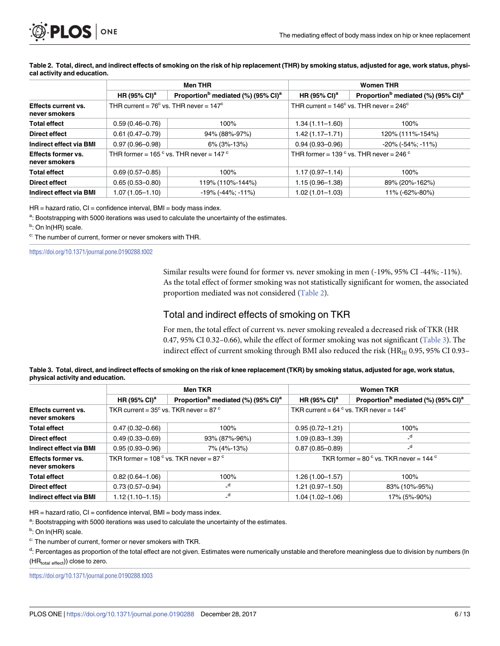<span id="page-5-0"></span>

[Table](#page-3-0) 2. Total, direct, and indirect effects of smoking on the risk of hip replacement (THR) by smoking status, adjusted for age, work status, physi**cal activity and education.**

|                                             | <b>Men THR</b>                                           |                                                            | <b>Women THR</b>                                          |                                                            |  |
|---------------------------------------------|----------------------------------------------------------|------------------------------------------------------------|-----------------------------------------------------------|------------------------------------------------------------|--|
|                                             | HR (95% CI) <sup>a</sup>                                 | Proportion <sup>b</sup> mediated (%) (95% CI) <sup>a</sup> | HR (95% CI) <sup>a</sup>                                  | Proportion <sup>b</sup> mediated (%) (95% CI) <sup>a</sup> |  |
| <b>Effects current vs.</b><br>never smokers | THR current = $76^{\circ}$ vs. THR never = $147^{\circ}$ |                                                            | THR current = $146^{\circ}$ vs. THR never = $246^{\circ}$ |                                                            |  |
| <b>Total effect</b>                         | $0.59(0.46 - 0.76)$                                      | 100%                                                       | 1.34 (1.11–1.60)                                          | 100%                                                       |  |
| Direct effect                               | $0.61(0.47 - 0.79)$                                      | 94% (88%-97%)                                              | 1.42 (1.17–1.71)                                          | 120% (111%-154%)                                           |  |
| Indirect effect via BMI                     | $0.97(0.96 - 0.98)$                                      | $6\%$ (3%-13%)                                             | $0.94(0.93 - 0.96)$                                       | $-20\%$ ( $-54\%$ ; $-11\%$ )                              |  |
| Effects former vs.<br>never smokers         | THR former = $165^{\circ}$ vs. THR never = $147^{\circ}$ |                                                            | THR former = $139c$ vs. THR never = 246 $c$               |                                                            |  |
| <b>Total effect</b>                         | $0.69(0.57 - 0.85)$                                      | 100%                                                       | $1.17(0.97 - 1.14)$                                       | 100%                                                       |  |
| Direct effect                               | $0.65(0.53 - 0.80)$                                      | 119% (110%-144%)                                           | $1.15(0.96 - 1.38)$                                       | 89% (20%-162%)                                             |  |
| Indirect effect via BMI                     | 1.07 (1.05-1.10)                                         | $-19\%$ ( $-44\%$ ; $-11\%$ )                              | $1.02(1.01 - 1.03)$                                       | 11% (-62%-80%)                                             |  |

 $HR =$  hazard ratio,  $CI =$  confidence interval,  $BMI =$  body mass index.

<sup>a</sup>: Bootstrapping with 5000 iterations was used to calculate the uncertainty of the estimates.

<sup>b</sup>: On ln(HR) scale.

c: The number of current, former or never smokers with THR.

<https://doi.org/10.1371/journal.pone.0190288.t002>

Similar results were found for former vs. never smoking in men (-19%, 95% CI -44%; -11%). As the total effect of former smoking was not statistically significant for women, the associated proportion mediated was not considered (Table 2).

# Total and indirect effects of smoking on TKR

For men, the total effect of current vs. never smoking revealed a decreased risk of TKR (HR 0.47, 95% CI 0.32–0.66), while the effect of former smoking was not significant (Table 3). The indirect effect of current smoking through BMI also reduced the risk ( $HR<sub>IE</sub>$  0.95, 95% CI 0.93–

| Table 3. Total, direct, and indirect effects of smoking on the risk of knee replacement (TKR) by smoking status, adjusted for age, work status, |  |
|-------------------------------------------------------------------------------------------------------------------------------------------------|--|
| physical activity and education.                                                                                                                |  |

|                                             |                                                         | <b>Men TKR</b>                                             | <b>Women TKR</b>                                         |                                                            |  |
|---------------------------------------------|---------------------------------------------------------|------------------------------------------------------------|----------------------------------------------------------|------------------------------------------------------------|--|
| HR (95% CI) <sup>a</sup>                    |                                                         | Proportion <sup>b</sup> mediated (%) (95% CI) <sup>a</sup> | HR (95% CI) <sup>a</sup>                                 | Proportion <sup>b</sup> mediated (%) (95% CI) <sup>a</sup> |  |
| <b>Effects current vs.</b><br>never smokers | TKR current = $35^{\circ}$ vs. TKR never = $87^{\circ}$ |                                                            | TKR current = $64^{\circ}$ vs. TKR never = $144^{\circ}$ |                                                            |  |
| <b>Total effect</b>                         | $0.47(0.32 - 0.66)$                                     | 100%                                                       | $0.95(0.72 - 1.21)$                                      | 100%                                                       |  |
| Direct effect                               | $0.49(0.33 - 0.69)$                                     | 93% (87%-96%)                                              | 1.09 (0.83-1.39)                                         | $\mathsf{a}$                                               |  |
| Indirect effect via BMI                     | $0.95(0.93 - 0.96)$                                     | 7% (4%-13%)                                                | $0.87(0.85 - 0.89)$                                      | $\mathsf{a}$                                               |  |
| <b>Effects former vs.</b><br>never smokers  | TKR former = $108c$ vs. TKR never = 87 $c$              |                                                            | TKR former = $80^{\circ}$ vs. TKR never = 144 $^{\circ}$ |                                                            |  |
| <b>Total effect</b>                         | $0.82(0.64 - 1.06)$                                     | 100%                                                       | 1.26 (1.00-1.57)                                         | 100%                                                       |  |
| Direct effect                               | $0.73(0.57-0.94)$                                       | $\overline{\mathsf{d}}$                                    | $1.21(0.97 - 1.50)$                                      | 83% (10%-95%)                                              |  |
| Indirect effect via BMI                     | 1.12 (1.10–1.15)                                        | $\mathsf{d}$                                               | 1.04 (1.02-1.06)                                         | 17% (5%-90%)                                               |  |

 $HR =$  hazard ratio,  $CI =$  confidence interval,  $BMI =$  body mass index.

<sup>a</sup>: Bootstrapping with 5000 iterations was used to calculate the uncertainty of the estimates.

<sup>b</sup>: On ln(HR) scale.

c: The number of current, former or never smokers with TKR.

<sup>d</sup>: Percentages as proportion of the total effect are not given. Estimates were numerically unstable and therefore meaningless due to division by numbers (In

 $(HR_{total\ effect})$ ) close to zero.

<https://doi.org/10.1371/journal.pone.0190288.t003>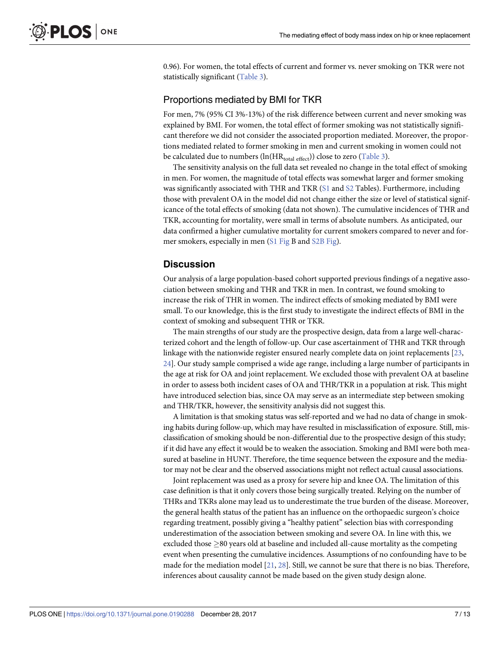<span id="page-6-0"></span>0.96). For women, the total effects of current and former vs. never smoking on TKR were not statistically significant [\(Table](#page-5-0) 3).

## Proportions mediated by BMI for TKR

For men, 7% (95% CI 3%-13%) of the risk difference between current and never smoking was explained by BMI. For women, the total effect of former smoking was not statistically significant therefore we did not consider the associated proportion mediated. Moreover, the proportions mediated related to former smoking in men and current smoking in women could not be calculated due to numbers ( $ln(HR_{total\;effect})$ ) close to zero ([Table](#page-5-0) 3).

The sensitivity analysis on the full data set revealed no change in the total effect of smoking in men. For women, the magnitude of total effects was somewhat larger and former smoking was significantly associated with THR and TKR ([S1](#page-9-0) and [S2](#page-9-0) Tables). Furthermore, including those with prevalent OA in the model did not change either the size or level of statistical significance of the total effects of smoking (data not shown). The cumulative incidences of THR and TKR, accounting for mortality, were small in terms of absolute numbers. As anticipated, our data confirmed a higher cumulative mortality for current smokers compared to never and former smokers, especially in men (S1 [Fig](#page-9-0) B and [S2B](#page-9-0) Fig).

# **Discussion**

Our analysis of a large population-based cohort supported previous findings of a negative association between smoking and THR and TKR in men. In contrast, we found smoking to increase the risk of THR in women. The indirect effects of smoking mediated by BMI were small. To our knowledge, this is the first study to investigate the indirect effects of BMI in the context of smoking and subsequent THR or TKR.

The main strengths of our study are the prospective design, data from a large well-characterized cohort and the length of follow-up. Our case ascertainment of THR and TKR through linkage with the nationwide register ensured nearly complete data on joint replacements [\[23,](#page-11-0) [24\]](#page-11-0). Our study sample comprised a wide age range, including a large number of participants in the age at risk for OA and joint replacement. We excluded those with prevalent OA at baseline in order to assess both incident cases of OA and THR/TKR in a population at risk. This might have introduced selection bias, since OA may serve as an intermediate step between smoking and THR/TKR, however, the sensitivity analysis did not suggest this.

A limitation is that smoking status was self-reported and we had no data of change in smoking habits during follow-up, which may have resulted in misclassification of exposure. Still, misclassification of smoking should be non-differential due to the prospective design of this study; if it did have any effect it would be to weaken the association. Smoking and BMI were both measured at baseline in HUNT. Therefore, the time sequence between the exposure and the mediator may not be clear and the observed associations might not reflect actual causal associations.

Joint replacement was used as a proxy for severe hip and knee OA. The limitation of this case definition is that it only covers those being surgically treated. Relying on the number of THRs and TKRs alone may lead us to underestimate the true burden of the disease. Moreover, the general health status of the patient has an influence on the orthopaedic surgeon's choice regarding treatment, possibly giving a "healthy patient" selection bias with corresponding underestimation of the association between smoking and severe OA. In line with this, we excluded those  $>80$  years old at baseline and included all-cause mortality as the competing event when presenting the cumulative incidences. Assumptions of no confounding have to be made for the mediation model [[21](#page-11-0), [28](#page-11-0)]. Still, we cannot be sure that there is no bias. Therefore, inferences about causality cannot be made based on the given study design alone.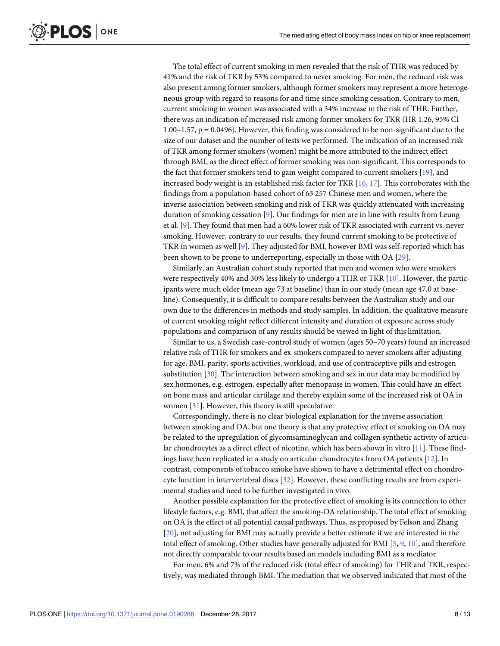<span id="page-7-0"></span>The total effect of current smoking in men revealed that the risk of THR was reduced by 41% and the risk of TKR by 53% compared to never smoking. For men, the reduced risk was also present among former smokers, although former smokers may represent a more heterogeneous group with regard to reasons for and time since smoking cessation. Contrary to men, current smoking in women was associated with a 34% increase in the risk of THR. Further, there was an indication of increased risk among former smokers for TKR (HR 1.26, 95% CI 1.00–1.57, p = 0.0496). However, this finding was considered to be non-significant due to the size of our dataset and the number of tests we performed. The indication of an increased risk of TKR among former smokers (women) might be more attributed to the indirect effect through BMI, as the direct effect of former smoking was non-significant. This corresponds to the fact that former smokers tend to gain weight compared to current smokers [[19](#page-11-0)], and increased body weight is an established risk factor for TKR [[16](#page-11-0), [17](#page-11-0)]. This corroborates with the findings from a population-based cohort of 63 257 Chinese men and women, where the inverse association between smoking and risk of TKR was quickly attenuated with increasing duration of smoking cessation [[9\]](#page-10-0). Our findings for men are in line with results from Leung et al. [\[9\]](#page-10-0). They found that men had a 60% lower risk of TKR associated with current vs. never smoking. However, contrary to our results, they found current smoking to be protective of TKR in women as well [\[9](#page-10-0)]. They adjusted for BMI, however BMI was self-reported which has been shown to be prone to underreporting, especially in those with OA [[29\]](#page-11-0).

Similarly, an Australian cohort study reported that men and women who were smokers were respectively 40% and 30% less likely to undergo a THR or TKR [\[10\]](#page-10-0). However, the participants were much older (mean age 73 at baseline) than in our study (mean age 47.0 at baseline). Consequently, it is difficult to compare results between the Australian study and our own due to the differences in methods and study samples. In addition, the qualitative measure of current smoking might reflect different intensity and duration of exposure across study populations and comparison of any results should be viewed in light of this limitation.

Similar to us, a Swedish case-control study of women (ages 50–70 years) found an increased relative risk of THR for smokers and ex-smokers compared to never smokers after adjusting for age, BMI, parity, sports activities, workload, and use of contraceptive pills and estrogen substitution [\[30\]](#page-11-0). The interaction between smoking and sex in our data may be modified by sex hormones, e.g. estrogen, especially after menopause in women. This could have an effect on bone mass and articular cartilage and thereby explain some of the increased risk of OA in women [\[31\]](#page-11-0). However, this theory is still speculative.

Correspondingly, there is no clear biological explanation for the inverse association between smoking and OA, but one theory is that any protective effect of smoking on OA may be related to the upregulation of glycomsaminoglycan and collagen synthetic activity of articular chondrocytes as a direct effect of nicotine, which has been shown in vitro [\[11\]](#page-10-0). These findings have been replicated in a study on articular chondrocytes from OA patients [\[12\]](#page-10-0). In contrast, components of tobacco smoke have shown to have a detrimental effect on chondrocyte function in intervertebral discs [\[32\]](#page-11-0). However, these conflicting results are from experimental studies and need to be further investigated in vivo.

Another possible explanation for the protective effect of smoking is its connection to other lifestyle factors, e.g. BMI, that affect the smoking-OA relationship. The total effect of smoking on OA is the effect of all potential causal pathways. Thus, as proposed by Felson and Zhang [\[20\]](#page-11-0), not adjusting for BMI may actually provide a better estimate if we are interested in the total effect of smoking. Other studies have generally adjusted for BMI [\[5,](#page-10-0) [9,](#page-10-0) [10\]](#page-10-0), and therefore not directly comparable to our results based on models including BMI as a mediator.

For men, 6% and 7% of the reduced risk (total effect of smoking) for THR and TKR, respectively, was mediated through BMI. The mediation that we observed indicated that most of the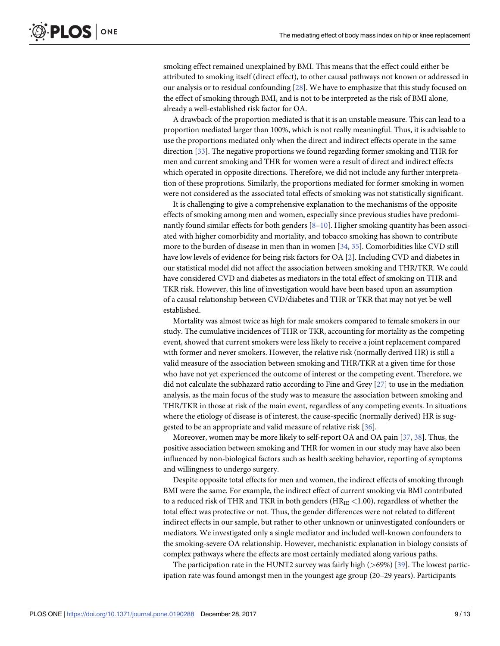<span id="page-8-0"></span>smoking effect remained unexplained by BMI. This means that the effect could either be attributed to smoking itself (direct effect), to other causal pathways not known or addressed in our analysis or to residual confounding [[28](#page-11-0)]. We have to emphasize that this study focused on the effect of smoking through BMI, and is not to be interpreted as the risk of BMI alone, already a well-established risk factor for OA.

A drawback of the proportion mediated is that it is an unstable measure. This can lead to a proportion mediated larger than 100%, which is not really meaningful. Thus, it is advisable to use the proportions mediated only when the direct and indirect effects operate in the same direction [[33](#page-11-0)]. The negative proportions we found regarding former smoking and THR for men and current smoking and THR for women were a result of direct and indirect effects which operated in opposite directions. Therefore, we did not include any further interpretation of these proprotions. Similarly, the proportions mediated for former smoking in women were not considered as the associated total effects of smoking was not statistically significant.

It is challenging to give a comprehensive explanation to the mechanisms of the opposite effects of smoking among men and women, especially since previous studies have predominantly found similar effects for both genders  $[8-10]$ . Higher smoking quantity has been associated with higher comorbidity and mortality, and tobacco smoking has shown to contribute more to the burden of disease in men than in women [\[34](#page-11-0), [35\]](#page-11-0). Comorbidities like CVD still have low levels of evidence for being risk factors for OA [\[2](#page-10-0)]. Including CVD and diabetes in our statistical model did not affect the association between smoking and THR/TKR. We could have considered CVD and diabetes as mediators in the total effect of smoking on THR and TKR risk. However, this line of investigation would have been based upon an assumption of a causal relationship between CVD/diabetes and THR or TKR that may not yet be well established.

Mortality was almost twice as high for male smokers compared to female smokers in our study. The cumulative incidences of THR or TKR, accounting for mortality as the competing event, showed that current smokers were less likely to receive a joint replacement compared with former and never smokers. However, the relative risk (normally derived HR) is still a valid measure of the association between smoking and THR/TKR at a given time for those who have not yet experienced the outcome of interest or the competing event. Therefore, we did not calculate the subhazard ratio according to Fine and Grey [\[27\]](#page-11-0) to use in the mediation analysis, as the main focus of the study was to measure the association between smoking and THR/TKR in those at risk of the main event, regardless of any competing events. In situations where the etiology of disease is of interest, the cause-specific (normally derived) HR is suggested to be an appropriate and valid measure of relative risk [\[36\]](#page-12-0).

Moreover, women may be more likely to self-report OA and OA pain [\[37,](#page-12-0) [38\]](#page-12-0). Thus, the positive association between smoking and THR for women in our study may have also been influenced by non-biological factors such as health seeking behavior, reporting of symptoms and willingness to undergo surgery.

Despite opposite total effects for men and women, the indirect effects of smoking through BMI were the same. For example, the indirect effect of current smoking via BMI contributed to a reduced risk of THR and TKR in both genders (HR<sub>IE</sub> < 1.00), regardless of whether the total effect was protective or not. Thus, the gender differences were not related to different indirect effects in our sample, but rather to other unknown or uninvestigated confounders or mediators. We investigated only a single mediator and included well-known confounders to the smoking-severe OA relationship. However, mechanistic explanation in biology consists of complex pathways where the effects are most certainly mediated along various paths.

The participation rate in the HUNT2 survey was fairly high (*>*69%) [[39](#page-12-0)]. The lowest participation rate was found amongst men in the youngest age group (20–29 years). Participants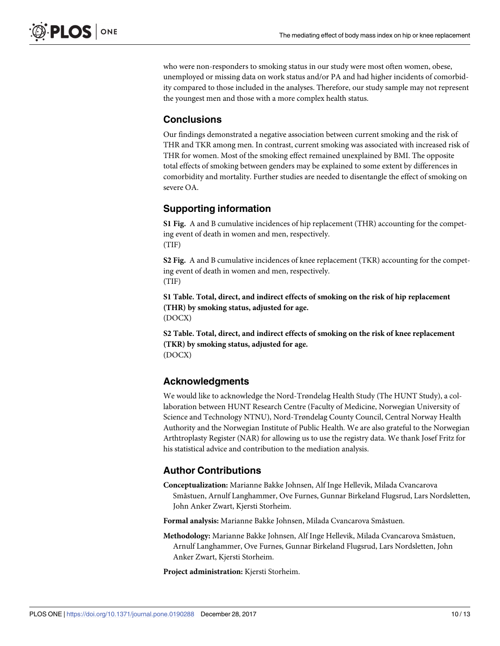<span id="page-9-0"></span>who were non-responders to smoking status in our study were most often women, obese, unemployed or missing data on work status and/or PA and had higher incidents of comorbidity compared to those included in the analyses. Therefore, our study sample may not represent the youngest men and those with a more complex health status.

## **Conclusions**

Our findings demonstrated a negative association between current smoking and the risk of THR and TKR among men. In contrast, current smoking was associated with increased risk of THR for women. Most of the smoking effect remained unexplained by BMI. The opposite total effects of smoking between genders may be explained to some extent by differences in comorbidity and mortality. Further studies are needed to disentangle the effect of smoking on severe OA.

## **Supporting information**

**S1 [Fig](http://www.plosone.org/article/fetchSingleRepresentation.action?uri=info:doi/10.1371/journal.pone.0190288.s001).** A and B cumulative incidences of hip replacement (THR) accounting for the competing event of death in women and men, respectively. (TIF)

**S2 [Fig](http://www.plosone.org/article/fetchSingleRepresentation.action?uri=info:doi/10.1371/journal.pone.0190288.s002).** A and B cumulative incidences of knee replacement (TKR) accounting for the competing event of death in women and men, respectively. (TIF)

**S1 [Table.](http://www.plosone.org/article/fetchSingleRepresentation.action?uri=info:doi/10.1371/journal.pone.0190288.s003) Total, direct, and indirect effects of smoking on the risk of hip replacement (THR) by smoking status, adjusted for age.** (DOCX)

**S2 [Table.](http://www.plosone.org/article/fetchSingleRepresentation.action?uri=info:doi/10.1371/journal.pone.0190288.s004) Total, direct, and indirect effects of smoking on the risk of knee replacement (TKR) by smoking status, adjusted for age.** (DOCX)

## **Acknowledgments**

We would like to acknowledge the Nord-Trøndelag Health Study (The HUNT Study), a collaboration between HUNT Research Centre (Faculty of Medicine, Norwegian University of Science and Technology NTNU), Nord-Trøndelag County Council, Central Norway Health Authority and the Norwegian Institute of Public Health. We are also grateful to the Norwegian Arthtroplasty Register (NAR) for allowing us to use the registry data. We thank Josef Fritz for his statistical advice and contribution to the mediation analysis.

# **Author Contributions**

**Conceptualization:** Marianne Bakke Johnsen, Alf Inge Hellevik, Milada Cvancarova

Småstuen, Arnulf Langhammer, Ove Furnes, Gunnar Birkeland Flugsrud, Lars Nordsletten, John Anker Zwart, Kjersti Storheim.

**Formal analysis:** Marianne Bakke Johnsen, Milada Cvancarova Småstuen.

**Methodology:** Marianne Bakke Johnsen, Alf Inge Hellevik, Milada Cvancarova Småstuen, Arnulf Langhammer, Ove Furnes, Gunnar Birkeland Flugsrud, Lars Nordsletten, John Anker Zwart, Kjersti Storheim.

**Project administration:** Kjersti Storheim.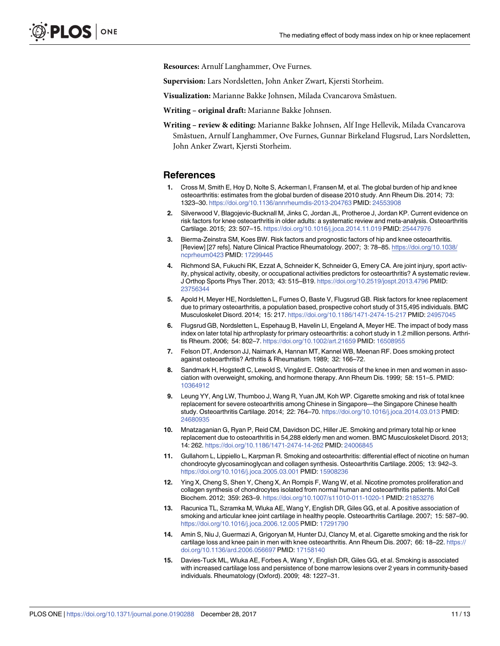<span id="page-10-0"></span>**Resources:** Arnulf Langhammer, Ove Furnes.

**Supervision:** Lars Nordsletten, John Anker Zwart, Kjersti Storheim.

**Visualization:** Marianne Bakke Johnsen, Milada Cvancarova Småstuen.

**Writing – original draft:** Marianne Bakke Johnsen.

**Writing – review & editing:** Marianne Bakke Johnsen, Alf Inge Hellevik, Milada Cvancarova Småstuen, Arnulf Langhammer, Ove Furnes, Gunnar Birkeland Flugsrud, Lars Nordsletten, John Anker Zwart, Kjersti Storheim.

#### **References**

- **[1](#page-1-0).** Cross M, Smith E, Hoy D, Nolte S, Ackerman I, Fransen M, et al. The global burden of hip and knee osteoarthritis: estimates from the global burden of disease 2010 study. Ann Rheum Dis. 2014; 73: 1323–30. <https://doi.org/10.1136/annrheumdis-2013-204763> PMID: [24553908](http://www.ncbi.nlm.nih.gov/pubmed/24553908)
- **[2](#page-1-0).** Silverwood V, Blagojevic-Bucknall M, Jinks C, Jordan JL, Protheroe J, Jordan KP. Current evidence on risk factors for knee osteoarthritis in older adults: a systematic review and meta-analysis. Osteoarthritis Cartilage. 2015; 23: 507–15. <https://doi.org/10.1016/j.joca.2014.11.019> PMID: [25447976](http://www.ncbi.nlm.nih.gov/pubmed/25447976)
- **3.** Bierma-Zeinstra SM, Koes BW. Risk factors and prognostic factors of hip and knee osteoarthritis. [Review] [27 refs]. Nature Clinical Practice Rheumatology. 2007; 3: 78–85. [https://doi.org/10.1038/](https://doi.org/10.1038/ncprheum0423) [ncprheum0423](https://doi.org/10.1038/ncprheum0423) PMID: [17299445](http://www.ncbi.nlm.nih.gov/pubmed/17299445)
- **4.** Richmond SA, Fukuchi RK, Ezzat A, Schneider K, Schneider G, Emery CA. Are joint injury, sport activity, physical activity, obesity, or occupational activities predictors for osteoarthritis? A systematic review. J Orthop Sports Phys Ther. 2013; 43: 515–B19. <https://doi.org/10.2519/jospt.2013.4796> PMID: [23756344](http://www.ncbi.nlm.nih.gov/pubmed/23756344)
- **[5](#page-1-0).** Apold H, Meyer HE, Nordsletten L, Furnes O, Baste V, Flugsrud GB. Risk factors for knee replacement due to primary osteoarthritis, a population based, prospective cohort study of 315,495 individuals. BMC Musculoskelet Disord. 2014; 15: 217. <https://doi.org/10.1186/1471-2474-15-217> PMID: [24957045](http://www.ncbi.nlm.nih.gov/pubmed/24957045)
- **[6](#page-1-0).** Flugsrud GB, Nordsletten L, Espehaug B, Havelin LI, Engeland A, Meyer HE. The impact of body mass index on later total hip arthroplasty for primary osteoarthritis: a cohort study in 1.2 million persons. Arthritis Rheum. 2006; 54: 802–7. <https://doi.org/10.1002/art.21659> PMID: [16508955](http://www.ncbi.nlm.nih.gov/pubmed/16508955)
- **[7](#page-1-0).** Felson DT, Anderson JJ, Naimark A, Hannan MT, Kannel WB, Meenan RF. Does smoking protect against osteoarthritis? Arthritis & Rheumatism. 1989; 32: 166–72.
- **[8](#page-1-0).** Sandmark H, Hogstedt C, Lewold S, Vingård E. Osteoarthrosis of the knee in men and women in association with overweight, smoking, and hormone therapy. Ann Rheum Dis. 1999; 58: 151–5. PMID: [10364912](http://www.ncbi.nlm.nih.gov/pubmed/10364912)
- **[9](#page-1-0).** Leung YY, Ang LW, Thumboo J, Wang R, Yuan JM, Koh WP. Cigarette smoking and risk of total knee replacement for severe osteoarthritis among Chinese in Singapore—the Singapore Chinese health study. Osteoarthritis Cartilage. 2014; 22: 764–70. <https://doi.org/10.1016/j.joca.2014.03.013> PMID: [24680935](http://www.ncbi.nlm.nih.gov/pubmed/24680935)
- **[10](#page-1-0).** Mnatzaganian G, Ryan P, Reid CM, Davidson DC, Hiller JE. Smoking and primary total hip or knee replacement due to osteoarthritis in 54,288 elderly men and women. BMC Musculoskelet Disord. 2013; 14: 262. <https://doi.org/10.1186/1471-2474-14-262> PMID: [24006845](http://www.ncbi.nlm.nih.gov/pubmed/24006845)
- **[11](#page-1-0).** Gullahorn L, Lippiello L, Karpman R. Smoking and osteoarthritis: differential effect of nicotine on human chondrocyte glycosaminoglycan and collagen synthesis. Osteoarthritis Cartilage. 2005; 13: 942–3. <https://doi.org/10.1016/j.joca.2005.03.001> PMID: [15908236](http://www.ncbi.nlm.nih.gov/pubmed/15908236)
- **[12](#page-1-0).** Ying X, Cheng S, Shen Y, Cheng X, An Rompis F, Wang W, et al. Nicotine promotes proliferation and collagen synthesis of chondrocytes isolated from normal human and osteoarthritis patients. Mol Cell Biochem. 2012; 359: 263–9. <https://doi.org/10.1007/s11010-011-1020-1> PMID: [21853276](http://www.ncbi.nlm.nih.gov/pubmed/21853276)
- **[13](#page-1-0).** Racunica TL, Szramka M, Wluka AE, Wang Y, English DR, Giles GG, et al. A positive association of smoking and articular knee joint cartilage in healthy people. Osteoarthritis Cartilage. 2007; 15: 587–90. <https://doi.org/10.1016/j.joca.2006.12.005> PMID: [17291790](http://www.ncbi.nlm.nih.gov/pubmed/17291790)
- **14.** Amin S, Niu J, Guermazi A, Grigoryan M, Hunter DJ, Clancy M, et al. Cigarette smoking and the risk for cartilage loss and knee pain in men with knee osteoarthritis. Ann Rheum Dis. 2007; 66: 18–22. [https://](https://doi.org/10.1136/ard.2006.056697) [doi.org/10.1136/ard.2006.056697](https://doi.org/10.1136/ard.2006.056697) PMID: [17158140](http://www.ncbi.nlm.nih.gov/pubmed/17158140)
- **[15](#page-1-0).** Davies-Tuck ML, Wluka AE, Forbes A, Wang Y, English DR, Giles GG, et al. Smoking is associated with increased cartilage loss and persistence of bone marrow lesions over 2 years in community-based individuals. Rheumatology (Oxford). 2009; 48: 1227–31.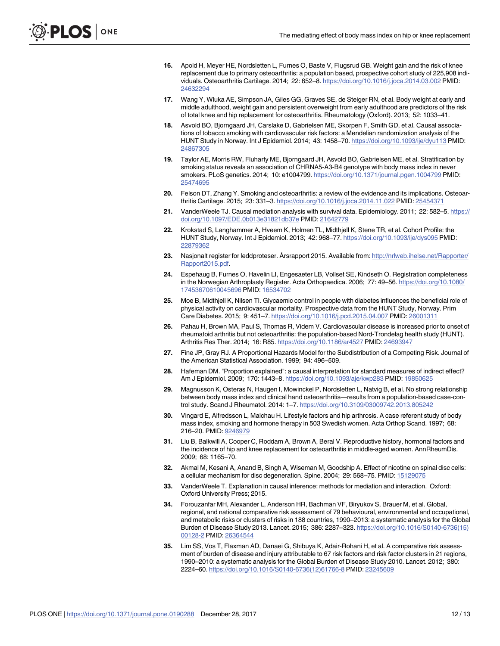- <span id="page-11-0"></span>**[16](#page-1-0).** Apold H, Meyer HE, Nordsletten L, Furnes O, Baste V, Flugsrud GB. Weight gain and the risk of knee replacement due to primary osteoarthritis: a population based, prospective cohort study of 225,908 individuals. Osteoarthritis Cartilage. 2014; 22: 652–8. <https://doi.org/10.1016/j.joca.2014.03.002> PMID: [24632294](http://www.ncbi.nlm.nih.gov/pubmed/24632294)
- **[17](#page-1-0).** Wang Y, Wluka AE, Simpson JA, Giles GG, Graves SE, de Steiger RN, et al. Body weight at early and middle adulthood, weight gain and persistent overweight from early adulthood are predictors of the risk of total knee and hip replacement for osteoarthritis. Rheumatology (Oxford). 2013; 52: 1033–41.
- **[18](#page-1-0).** Asvold BO, Bjorngaard JH, Carslake D, Gabrielsen ME, Skorpen F, Smith GD, et al. Causal associations of tobacco smoking with cardiovascular risk factors: a Mendelian randomization analysis of the HUNT Study in Norway. Int J Epidemiol. 2014; 43: 1458–70. <https://doi.org/10.1093/ije/dyu113> PMID: [24867305](http://www.ncbi.nlm.nih.gov/pubmed/24867305)
- **[19](#page-1-0).** Taylor AE, Morris RW, Fluharty ME, Bjorngaard JH, Asvold BO, Gabrielsen ME, et al. Stratification by smoking status reveals an association of CHRNA5-A3-B4 genotype with body mass index in never smokers. PLoS genetics. 2014; 10: e1004799. <https://doi.org/10.1371/journal.pgen.1004799> PMID: [25474695](http://www.ncbi.nlm.nih.gov/pubmed/25474695)
- **[20](#page-1-0).** Felson DT, Zhang Y. Smoking and osteoarthritis: a review of the evidence and its implications. Osteoarthritis Cartilage. 2015; 23: 331–3. <https://doi.org/10.1016/j.joca.2014.11.022> PMID: [25454371](http://www.ncbi.nlm.nih.gov/pubmed/25454371)
- **[21](#page-1-0).** VanderWeele TJ. Causal mediation analysis with survival data. Epidemiology. 2011; 22: 582–5. [https://](https://doi.org/10.1097/EDE.0b013e31821db37e) [doi.org/10.1097/EDE.0b013e31821db37e](https://doi.org/10.1097/EDE.0b013e31821db37e) PMID: [21642779](http://www.ncbi.nlm.nih.gov/pubmed/21642779)
- **[22](#page-1-0).** Krokstad S, Langhammer A, Hveem K, Holmen TL, Midthjell K, Stene TR, et al. Cohort Profile: the HUNT Study, Norway. Int J Epidemiol. 2013; 42: 968–77. <https://doi.org/10.1093/ije/dys095> PMID: [22879362](http://www.ncbi.nlm.nih.gov/pubmed/22879362)
- **[23](#page-2-0).** Nasjonalt register for leddproteser. Årsrapport 2015. Available from: [http://nrlweb.ihelse.net/Rapporter/](http://nrlweb.ihelse.net/Rapporter/Rapport2015.pdf) [Rapport2015.pdf](http://nrlweb.ihelse.net/Rapporter/Rapport2015.pdf).
- **[24](#page-2-0).** Espehaug B, Furnes O, Havelin LI, Engesaeter LB, Vollset SE, Kindseth O. Registration completeness in the Norwegian Arthroplasty Register. Acta Orthopaedica. 2006; 77: 49–56. [https://doi.org/10.1080/](https://doi.org/10.1080/17453670610045696) [17453670610045696](https://doi.org/10.1080/17453670610045696) PMID: [16534702](http://www.ncbi.nlm.nih.gov/pubmed/16534702)
- **[25](#page-2-0).** Moe B, Midthjell K, Nilsen TI. Glycaemic control in people with diabetes influences the beneficial role of physical activity on cardiovascular mortality. Prospective data from the HUNT Study, Norway. Prim Care Diabetes. 2015; 9: 451–7. <https://doi.org/10.1016/j.pcd.2015.04.007> PMID: [26001311](http://www.ncbi.nlm.nih.gov/pubmed/26001311)
- **[26](#page-2-0).** Pahau H, Brown MA, Paul S, Thomas R, Videm V. Cardiovascular disease is increased prior to onset of rheumatoid arthritis but not osteoarthritis: the population-based Nord-Trondelag health study (HUNT). Arthritis Res Ther. 2014; 16: R85. <https://doi.org/10.1186/ar4527> PMID: [24693947](http://www.ncbi.nlm.nih.gov/pubmed/24693947)
- **[27](#page-3-0).** Fine JP, Gray RJ. A Proportional Hazards Model for the Subdistribution of a Competing Risk. Journal of the American Statistical Association. 1999; 94: 496–509.
- **[28](#page-6-0).** Hafeman DM. "Proportion explained": a causal interpretation for standard measures of indirect effect? Am J Epidemiol. 2009; 170: 1443–8. <https://doi.org/10.1093/aje/kwp283> PMID: [19850625](http://www.ncbi.nlm.nih.gov/pubmed/19850625)
- **[29](#page-7-0).** Magnusson K, Osteras N, Haugen I, Mowinckel P, Nordsletten L, Natvig B, et al. No strong relationship between body mass index and clinical hand osteoarthritis—results from a population-based case-control study. Scand J Rheumatol. 2014: 1–7. <https://doi.org/10.3109/03009742.2013.805242>
- **[30](#page-7-0).** Vingard E, Alfredsson L, Malchau H. Lifestyle factors and hip arthrosis. A case referent study of body mass index, smoking and hormone therapy in 503 Swedish women. Acta Orthop Scand. 1997; 68: 216–20. PMID: [9246979](http://www.ncbi.nlm.nih.gov/pubmed/9246979)
- **[31](#page-7-0).** Liu B, Balkwill A, Cooper C, Roddam A, Brown A, Beral V. Reproductive history, hormonal factors and the incidence of hip and knee replacement for osteoarthritis in middle-aged women. AnnRheumDis. 2009; 68: 1165–70.
- **[32](#page-7-0).** Akmal M, Kesani A, Anand B, Singh A, Wiseman M, Goodship A. Effect of nicotine on spinal disc cells: a cellular mechanism for disc degeneration. Spine. 2004; 29: 568–75. PMID: [15129075](http://www.ncbi.nlm.nih.gov/pubmed/15129075)
- **[33](#page-8-0).** VanderWeele T. Explanation in causal inference: methods for mediation and interaction. Oxford: Oxford University Press; 2015.
- **[34](#page-8-0).** Forouzanfar MH, Alexander L, Anderson HR, Bachman VF, Biryukov S, Brauer M, et al. Global, regional, and national comparative risk assessment of 79 behavioural, environmental and occupational, and metabolic risks or clusters of risks in 188 countries, 1990–2013: a systematic analysis for the Global Burden of Disease Study 2013. Lancet. 2015; 386: 2287–323. [https://doi.org/10.1016/S0140-6736\(15\)](https://doi.org/10.1016/S0140-6736(15)00128-2) [00128-2](https://doi.org/10.1016/S0140-6736(15)00128-2) PMID: [26364544](http://www.ncbi.nlm.nih.gov/pubmed/26364544)
- **[35](#page-8-0).** Lim SS, Vos T, Flaxman AD, Danaei G, Shibuya K, Adair-Rohani H, et al. A comparative risk assessment of burden of disease and injury attributable to 67 risk factors and risk factor clusters in 21 regions, 1990–2010: a systematic analysis for the Global Burden of Disease Study 2010. Lancet. 2012; 380: 2224–60. [https://doi.org/10.1016/S0140-6736\(12\)61766-8](https://doi.org/10.1016/S0140-6736(12)61766-8) PMID: [23245609](http://www.ncbi.nlm.nih.gov/pubmed/23245609)